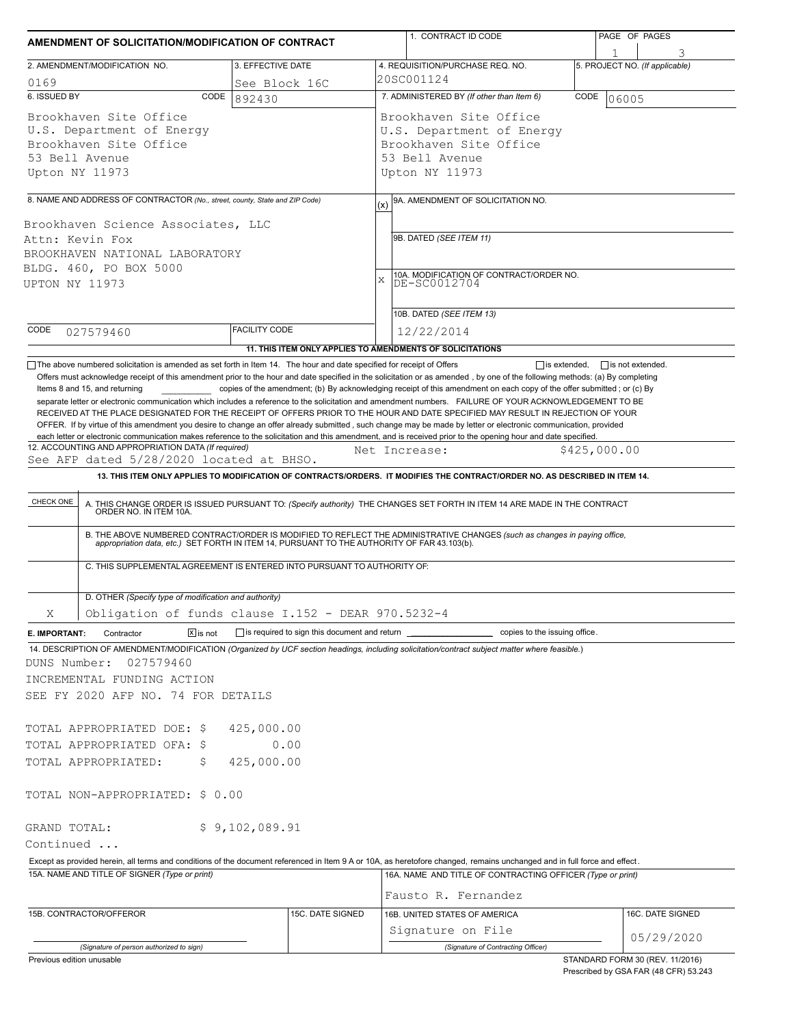| AMENDMENT OF SOLICITATION/MODIFICATION OF CONTRACT                                                                                                                                                                                                                                                           |                      | 1. CONTRACT ID CODE                                                                                                                                                                                                                                                                                                                                                                                                                                                                                                                                                                                                                                                                                                                                     | PAGE OF PAGES                                  |  |  |  |
|--------------------------------------------------------------------------------------------------------------------------------------------------------------------------------------------------------------------------------------------------------------------------------------------------------------|----------------------|---------------------------------------------------------------------------------------------------------------------------------------------------------------------------------------------------------------------------------------------------------------------------------------------------------------------------------------------------------------------------------------------------------------------------------------------------------------------------------------------------------------------------------------------------------------------------------------------------------------------------------------------------------------------------------------------------------------------------------------------------------|------------------------------------------------|--|--|--|
| 2. AMENDMENT/MODIFICATION NO.                                                                                                                                                                                                                                                                                | 3. EFFECTIVE DATE    | 4. REQUISITION/PURCHASE REQ. NO.                                                                                                                                                                                                                                                                                                                                                                                                                                                                                                                                                                                                                                                                                                                        | 5. PROJECT NO. (If applicable)                 |  |  |  |
| 0169                                                                                                                                                                                                                                                                                                         | See Block 16C        | 20SC001124                                                                                                                                                                                                                                                                                                                                                                                                                                                                                                                                                                                                                                                                                                                                              |                                                |  |  |  |
| 6. ISSUED BY<br>CODE                                                                                                                                                                                                                                                                                         | 892430               | 7. ADMINISTERED BY (If other than Item 6)                                                                                                                                                                                                                                                                                                                                                                                                                                                                                                                                                                                                                                                                                                               | CODE<br>06005                                  |  |  |  |
| Brookhaven Site Office<br>U.S. Department of Energy<br>Brookhaven Site Office<br>53 Bell Avenue<br>Upton NY 11973                                                                                                                                                                                            |                      | Brookhaven Site Office<br>U.S. Department of Energy<br>Brookhaven Site Office<br>53 Bell Avenue<br>Upton NY 11973                                                                                                                                                                                                                                                                                                                                                                                                                                                                                                                                                                                                                                       |                                                |  |  |  |
|                                                                                                                                                                                                                                                                                                              |                      |                                                                                                                                                                                                                                                                                                                                                                                                                                                                                                                                                                                                                                                                                                                                                         |                                                |  |  |  |
| 8. NAME AND ADDRESS OF CONTRACTOR (No., street, county, State and ZIP Code)<br>Brookhaven Science Associates, LLC<br>Attn: Kevin Fox<br>BROOKHAVEN NATIONAL LABORATORY<br>BLDG. 460, PO BOX 5000<br>UPTON NY 11973                                                                                           |                      | 9A. AMENDMENT OF SOLICITATION NO.<br>(x)<br>9B. DATED (SEE ITEM 11)<br>10A. MODIFICATION OF CONTRACT/ORDER NO.<br>$\mathbf{x}$<br>DE-SC0012704                                                                                                                                                                                                                                                                                                                                                                                                                                                                                                                                                                                                          |                                                |  |  |  |
|                                                                                                                                                                                                                                                                                                              |                      | 10B. DATED (SEE ITEM 13)                                                                                                                                                                                                                                                                                                                                                                                                                                                                                                                                                                                                                                                                                                                                |                                                |  |  |  |
| CODE<br>027579460                                                                                                                                                                                                                                                                                            | <b>FACILITY CODE</b> | 12/22/2014                                                                                                                                                                                                                                                                                                                                                                                                                                                                                                                                                                                                                                                                                                                                              |                                                |  |  |  |
| The above numbered solicitation is amended as set forth in Item 14. The hour and date specified for receipt of Offers                                                                                                                                                                                        |                      | 11. THIS ITEM ONLY APPLIES TO AMENDMENTS OF SOLICITATIONS                                                                                                                                                                                                                                                                                                                                                                                                                                                                                                                                                                                                                                                                                               | $\Box$ is extended.<br>$\Box$ is not extended. |  |  |  |
|                                                                                                                                                                                                                                                                                                              |                      | copies of the amendment; (b) By acknowledging receipt of this amendment on each copy of the offer submitted; or (c) By<br>separate letter or electronic communication which includes a reference to the solicitation and amendment numbers. FAILURE OF YOUR ACKNOWLEDGEMENT TO BE<br>RECEIVED AT THE PLACE DESIGNATED FOR THE RECEIPT OF OFFERS PRIOR TO THE HOUR AND DATE SPECIFIED MAY RESULT IN REJECTION OF YOUR<br>OFFER. If by virtue of this amendment you desire to change an offer already submitted, such change may be made by letter or electronic communication, provided<br>each letter or electronic communication makes reference to the solicitation and this amendment, and is received prior to the opening hour and date specified. |                                                |  |  |  |
| 12. ACCOUNTING AND APPROPRIATION DATA (If required)<br>See AFP dated 5/28/2020 located at BHSO.                                                                                                                                                                                                              |                      | Net Increase:                                                                                                                                                                                                                                                                                                                                                                                                                                                                                                                                                                                                                                                                                                                                           | \$425,000.00                                   |  |  |  |
|                                                                                                                                                                                                                                                                                                              |                      | 13. THIS ITEM ONLY APPLIES TO MODIFICATION OF CONTRACTS/ORDERS. IT MODIFIES THE CONTRACT/ORDER NO. AS DESCRIBED IN ITEM 14.                                                                                                                                                                                                                                                                                                                                                                                                                                                                                                                                                                                                                             |                                                |  |  |  |
| C. THIS SUPPLEMENTAL AGREEMENT IS ENTERED INTO PURSUANT TO AUTHORITY OF:<br>D. OTHER (Specify type of modification and authority)                                                                                                                                                                            |                      | B. THE ABOVE NUMBERED CONTRACT/ORDER IS MODIFIED TO REFLECT THE ADMINISTRATIVE CHANGES (such as changes in paying office, appropriation data, etc.) SET FORTH IN ITEM 14, PURSUANT TO THE AUTHORITY OF FAR 43.103(b).                                                                                                                                                                                                                                                                                                                                                                                                                                                                                                                                   |                                                |  |  |  |
| Obligation of funds clause I.152 - DEAR 970.5232-4<br>Χ                                                                                                                                                                                                                                                      |                      |                                                                                                                                                                                                                                                                                                                                                                                                                                                                                                                                                                                                                                                                                                                                                         |                                                |  |  |  |
|                                                                                                                                                                                                                                                                                                              |                      |                                                                                                                                                                                                                                                                                                                                                                                                                                                                                                                                                                                                                                                                                                                                                         |                                                |  |  |  |
| $\boxed{\mathsf{x}}$ is not<br>Contractor<br>E. IMPORTANT:<br>14. DESCRIPTION OF AMENDMENT/MODIFICATION (Organized by UCF section headings, including solicitation/contract subject matter where feasible.)<br>DUNS Number:<br>027579460<br>INCREMENTAL FUNDING ACTION<br>SEE FY 2020 AFP NO. 74 FOR DETAILS |                      | is required to sign this document and return ___________________________ copies to the issuing office.                                                                                                                                                                                                                                                                                                                                                                                                                                                                                                                                                                                                                                                  |                                                |  |  |  |
| TOTAL APPROPRIATED DOE: \$                                                                                                                                                                                                                                                                                   | 425,000.00           |                                                                                                                                                                                                                                                                                                                                                                                                                                                                                                                                                                                                                                                                                                                                                         |                                                |  |  |  |
| TOTAL APPROPRIATED OFA: \$                                                                                                                                                                                                                                                                                   | 0.00                 |                                                                                                                                                                                                                                                                                                                                                                                                                                                                                                                                                                                                                                                                                                                                                         |                                                |  |  |  |
| TOTAL APPROPRIATED:<br>\$.                                                                                                                                                                                                                                                                                   | 425,000.00           |                                                                                                                                                                                                                                                                                                                                                                                                                                                                                                                                                                                                                                                                                                                                                         |                                                |  |  |  |
| TOTAL NON-APPROPRIATED: \$ 0.00                                                                                                                                                                                                                                                                              |                      |                                                                                                                                                                                                                                                                                                                                                                                                                                                                                                                                                                                                                                                                                                                                                         |                                                |  |  |  |
| GRAND TOTAL:                                                                                                                                                                                                                                                                                                 | \$9,102,089.91       |                                                                                                                                                                                                                                                                                                                                                                                                                                                                                                                                                                                                                                                                                                                                                         |                                                |  |  |  |
| Continued                                                                                                                                                                                                                                                                                                    |                      |                                                                                                                                                                                                                                                                                                                                                                                                                                                                                                                                                                                                                                                                                                                                                         |                                                |  |  |  |
|                                                                                                                                                                                                                                                                                                              |                      | Except as provided herein, all terms and conditions of the document referenced in Item 9 A or 10A, as heretofore changed, remains unchanged and in full force and effect.                                                                                                                                                                                                                                                                                                                                                                                                                                                                                                                                                                               |                                                |  |  |  |
| 15A. NAME AND TITLE OF SIGNER (Type or print)                                                                                                                                                                                                                                                                |                      | 16A. NAME AND TITLE OF CONTRACTING OFFICER (Type or print)                                                                                                                                                                                                                                                                                                                                                                                                                                                                                                                                                                                                                                                                                              |                                                |  |  |  |
|                                                                                                                                                                                                                                                                                                              |                      | Fausto R. Fernandez                                                                                                                                                                                                                                                                                                                                                                                                                                                                                                                                                                                                                                                                                                                                     |                                                |  |  |  |
| 15B. CONTRACTOR/OFFEROR                                                                                                                                                                                                                                                                                      | 15C. DATE SIGNED     | 16B. UNITED STATES OF AMERICA<br>Signature on File                                                                                                                                                                                                                                                                                                                                                                                                                                                                                                                                                                                                                                                                                                      | 16C. DATE SIGNED                               |  |  |  |
| (Signature of person authorized to sign)                                                                                                                                                                                                                                                                     |                      | (Signature of Contracting Officer)                                                                                                                                                                                                                                                                                                                                                                                                                                                                                                                                                                                                                                                                                                                      | 05/29/2020                                     |  |  |  |
| Previous edition unusable                                                                                                                                                                                                                                                                                    |                      |                                                                                                                                                                                                                                                                                                                                                                                                                                                                                                                                                                                                                                                                                                                                                         | STANDARD FORM 30 (REV. 11/2016)                |  |  |  |

Prescribed by GSA FAR (48 CFR) 53.243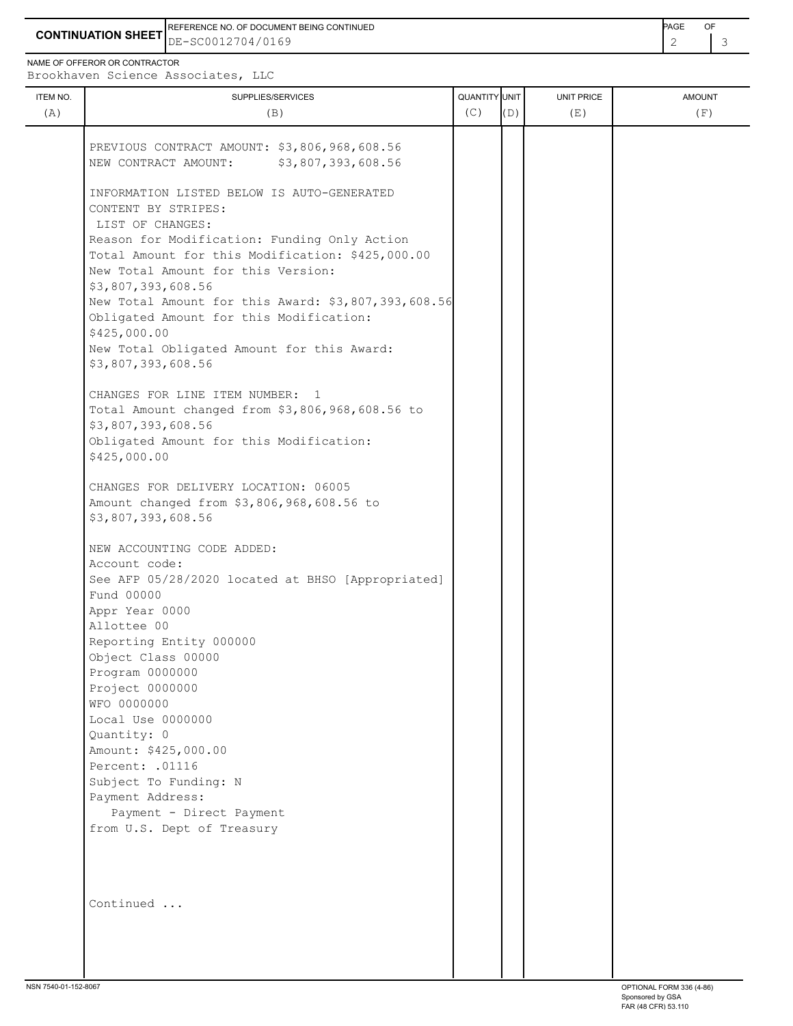**CONTINUATION SHEET** DE-SC0012704/0169 2 3 REFERENCE NO. OF DOCUMENT BEING CONTINUED **Example 2008** PAGE OF

NAME OF OFFEROR OR CONTRACTOR

ITEM NO.  $\begin{bmatrix} 1 & 1 & 1 \\ 0 & 0 & 1 \end{bmatrix}$   $\begin{bmatrix} 0 & 1 & 1 \\ 0 & 1 & 1 \end{bmatrix}$   $\begin{bmatrix} 0 & 0 & 0 \\ 0 & 1 & 1 \end{bmatrix}$   $\begin{bmatrix} 0 & 0 & 0 \\ 0 & 1 & 1 \end{bmatrix}$   $\begin{bmatrix} 0 & 0 & 0 \\ 0 & 1 & 1 \end{bmatrix}$   $\begin{bmatrix} 0 & 0 & 0 \\ 0 & 1 & 1 \end{bmatrix}$   $\begin{bmatrix} 0 & 0 & 0 \\ 0 & 1$ Brookhaven Science Associates, LLC (A)  $(B)$  (B)  $(C)$   $(D)$  (E)  $(E)$  (F)

| PREVIOUS CONTRACT AMOUNT: \$3,806,968,608.56<br>NEW CONTRACT AMOUNT: \$3,807,393,608.56 |  |  |  |
|-----------------------------------------------------------------------------------------|--|--|--|
| INFORMATION LISTED BELOW IS AUTO-GENERATED<br>CONTENT BY STRIPES:                       |  |  |  |
| LIST OF CHANGES:                                                                        |  |  |  |
| Reason for Modification: Funding Only Action                                            |  |  |  |
| Total Amount for this Modification: \$425,000.00                                        |  |  |  |
| New Total Amount for this Version:                                                      |  |  |  |
| \$3,807,393,608.56                                                                      |  |  |  |
| New Total Amount for this Award: \$3,807,393,608.56                                     |  |  |  |
| Obligated Amount for this Modification:                                                 |  |  |  |
| \$425,000.00<br>New Total Obligated Amount for this Award:                              |  |  |  |
| \$3,807,393,608.56                                                                      |  |  |  |
|                                                                                         |  |  |  |
| CHANGES FOR LINE ITEM NUMBER: 1                                                         |  |  |  |
| Total Amount changed from \$3,806,968,608.56 to                                         |  |  |  |
| \$3,807,393,608.56                                                                      |  |  |  |
| Obligated Amount for this Modification:                                                 |  |  |  |
| \$425,000.00                                                                            |  |  |  |
| CHANGES FOR DELIVERY LOCATION: 06005                                                    |  |  |  |
| Amount changed from \$3,806,968,608.56 to                                               |  |  |  |
| \$3,807,393,608.56                                                                      |  |  |  |
| NEW ACCOUNTING CODE ADDED:                                                              |  |  |  |
| Account code:                                                                           |  |  |  |
| See AFP 05/28/2020 located at BHSO [Appropriated]                                       |  |  |  |
| Fund 00000                                                                              |  |  |  |
| Appr Year 0000                                                                          |  |  |  |
| Allottee 00                                                                             |  |  |  |
| Reporting Entity 000000                                                                 |  |  |  |
| Object Class 00000                                                                      |  |  |  |
| Program 0000000<br>Project 0000000                                                      |  |  |  |
| WFO 0000000                                                                             |  |  |  |
| Local Use 0000000                                                                       |  |  |  |
| Quantity: 0                                                                             |  |  |  |
| Amount: \$425,000.00                                                                    |  |  |  |
| Percent: . 01116                                                                        |  |  |  |
| Subject To Funding: N                                                                   |  |  |  |
| Payment Address:                                                                        |  |  |  |
| Payment - Direct Payment                                                                |  |  |  |
| from U.S. Dept of Treasury                                                              |  |  |  |
|                                                                                         |  |  |  |
| Continued                                                                               |  |  |  |
|                                                                                         |  |  |  |
|                                                                                         |  |  |  |
|                                                                                         |  |  |  |